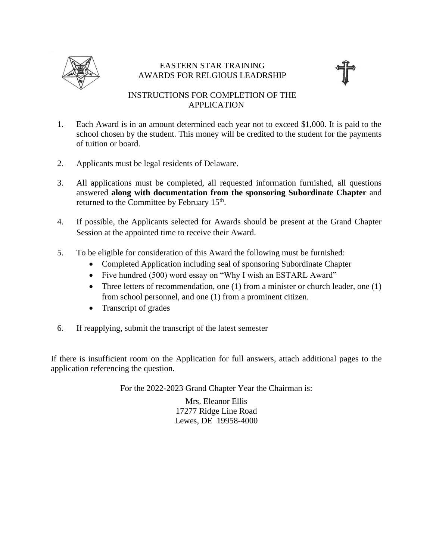

## EASTERN STAR TRAINING AWARDS FOR RELGIOUS LEADRSHIP



## INSTRUCTIONS FOR COMPLETION OF THE APPLICATION

- 1. Each Award is in an amount determined each year not to exceed \$1,000. It is paid to the school chosen by the student. This money will be credited to the student for the payments of tuition or board.
- 2. Applicants must be legal residents of Delaware.
- 3. All applications must be completed, all requested information furnished, all questions answered **along with documentation from the sponsoring Subordinate Chapter** and returned to the Committee by February 15<sup>th</sup>.
- 4. If possible, the Applicants selected for Awards should be present at the Grand Chapter Session at the appointed time to receive their Award.
- 5. To be eligible for consideration of this Award the following must be furnished:
	- Completed Application including seal of sponsoring Subordinate Chapter
	- Five hundred (500) word essay on "Why I wish an ESTARL Award"
	- Three letters of recommendation, one  $(1)$  from a minister or church leader, one  $(1)$ from school personnel, and one (1) from a prominent citizen.
	- Transcript of grades
- 6. If reapplying, submit the transcript of the latest semester

If there is insufficient room on the Application for full answers, attach additional pages to the application referencing the question.

For the 2022-2023 Grand Chapter Year the Chairman is:

Mrs. Eleanor Ellis 17277 Ridge Line Road Lewes, DE 19958-4000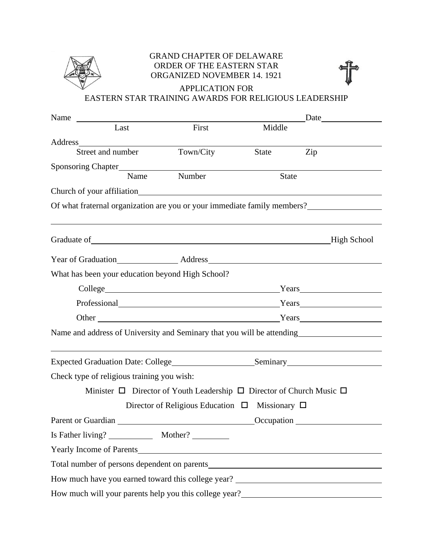

## GRAND CHAPTER OF DELAWARE ORDER OF THE EASTERN STAR ORGANIZED NOVEMBER 14. 1921

APPLICATION FOR

## EASTERN STAR TRAINING AWARDS FOR RELIGIOUS LEADERSHIP

| Name                                                                                                                                                                                                                                          |                                                                                     |                                                                                                                                                                                                                               |     | Date and the same state of the same state of the same state of the same state of the same state of the same state of the same state of the same state of the same state of the same state of the same state of the same state |
|-----------------------------------------------------------------------------------------------------------------------------------------------------------------------------------------------------------------------------------------------|-------------------------------------------------------------------------------------|-------------------------------------------------------------------------------------------------------------------------------------------------------------------------------------------------------------------------------|-----|-------------------------------------------------------------------------------------------------------------------------------------------------------------------------------------------------------------------------------|
| Last                                                                                                                                                                                                                                          | First                                                                               | Middle                                                                                                                                                                                                                        |     |                                                                                                                                                                                                                               |
|                                                                                                                                                                                                                                               |                                                                                     |                                                                                                                                                                                                                               |     |                                                                                                                                                                                                                               |
| Street and number                                                                                                                                                                                                                             | Town/City                                                                           | State                                                                                                                                                                                                                         | Zip |                                                                                                                                                                                                                               |
|                                                                                                                                                                                                                                               |                                                                                     |                                                                                                                                                                                                                               |     |                                                                                                                                                                                                                               |
| Name                                                                                                                                                                                                                                          | Number                                                                              | <b>State</b>                                                                                                                                                                                                                  |     |                                                                                                                                                                                                                               |
| Church of your affiliation                                                                                                                                                                                                                    |                                                                                     |                                                                                                                                                                                                                               |     |                                                                                                                                                                                                                               |
| Of what fraternal organization are you or your immediate family members?                                                                                                                                                                      |                                                                                     |                                                                                                                                                                                                                               |     |                                                                                                                                                                                                                               |
|                                                                                                                                                                                                                                               |                                                                                     |                                                                                                                                                                                                                               |     |                                                                                                                                                                                                                               |
| Year of Graduation <u>Address Address Contained Address</u> Contained Address Contained Address Contained Address Contained Address Contained Address Contained Address Contained Address Contained Address Contained Address Conta           |                                                                                     |                                                                                                                                                                                                                               |     |                                                                                                                                                                                                                               |
| What has been your education beyond High School?                                                                                                                                                                                              |                                                                                     |                                                                                                                                                                                                                               |     |                                                                                                                                                                                                                               |
|                                                                                                                                                                                                                                               |                                                                                     | College Years Years Years Years Years Years Years Years New Years New Years New Years New Years New York 1990                                                                                                                 |     |                                                                                                                                                                                                                               |
|                                                                                                                                                                                                                                               |                                                                                     | Professional Years Years Years                                                                                                                                                                                                |     |                                                                                                                                                                                                                               |
|                                                                                                                                                                                                                                               |                                                                                     | Other Nears Nearly Nearly Nearly Nearly Nearly Nearly Nearly Nearly Nearly Nearly Nearly Nearly Nearly Nearly Nearly Nearly Nearly Nearly Nearly Nearly Nearly Nearly Nearly Nearly Nearly Nearly Nearly Nearly Nearly Nearly |     |                                                                                                                                                                                                                               |
| Name and address of University and Seminary that you will be attending<br><u>Name</u> and address of University and Seminary that you will be attending                                                                                       |                                                                                     |                                                                                                                                                                                                                               |     |                                                                                                                                                                                                                               |
|                                                                                                                                                                                                                                               |                                                                                     |                                                                                                                                                                                                                               |     |                                                                                                                                                                                                                               |
| Check type of religious training you wish:                                                                                                                                                                                                    |                                                                                     |                                                                                                                                                                                                                               |     |                                                                                                                                                                                                                               |
|                                                                                                                                                                                                                                               | Minister $\Box$ Director of Youth Leadership $\Box$ Director of Church Music $\Box$ |                                                                                                                                                                                                                               |     |                                                                                                                                                                                                                               |
|                                                                                                                                                                                                                                               | Director of Religious Education $\Box$ Missionary $\Box$                            |                                                                                                                                                                                                                               |     |                                                                                                                                                                                                                               |
| Parent or Guardian Construction Construction Construction Construction Construction Construction Construction Construction Construction Construction Construction Construction Construction Construction Construction Construc                |                                                                                     |                                                                                                                                                                                                                               |     |                                                                                                                                                                                                                               |
|                                                                                                                                                                                                                                               |                                                                                     |                                                                                                                                                                                                                               |     |                                                                                                                                                                                                                               |
| Yearly Income of Parents                                                                                                                                                                                                                      |                                                                                     |                                                                                                                                                                                                                               |     |                                                                                                                                                                                                                               |
|                                                                                                                                                                                                                                               |                                                                                     |                                                                                                                                                                                                                               |     |                                                                                                                                                                                                                               |
| How much have you earned toward this college year? ______________________________                                                                                                                                                             |                                                                                     |                                                                                                                                                                                                                               |     |                                                                                                                                                                                                                               |
| How much will your parents help you this college year?<br><u>Letting</u> your parents help you this college year?<br><u>Letting the substitute of the substitute of the substitute of the substitute of the substitute of the substitute </u> |                                                                                     |                                                                                                                                                                                                                               |     |                                                                                                                                                                                                                               |